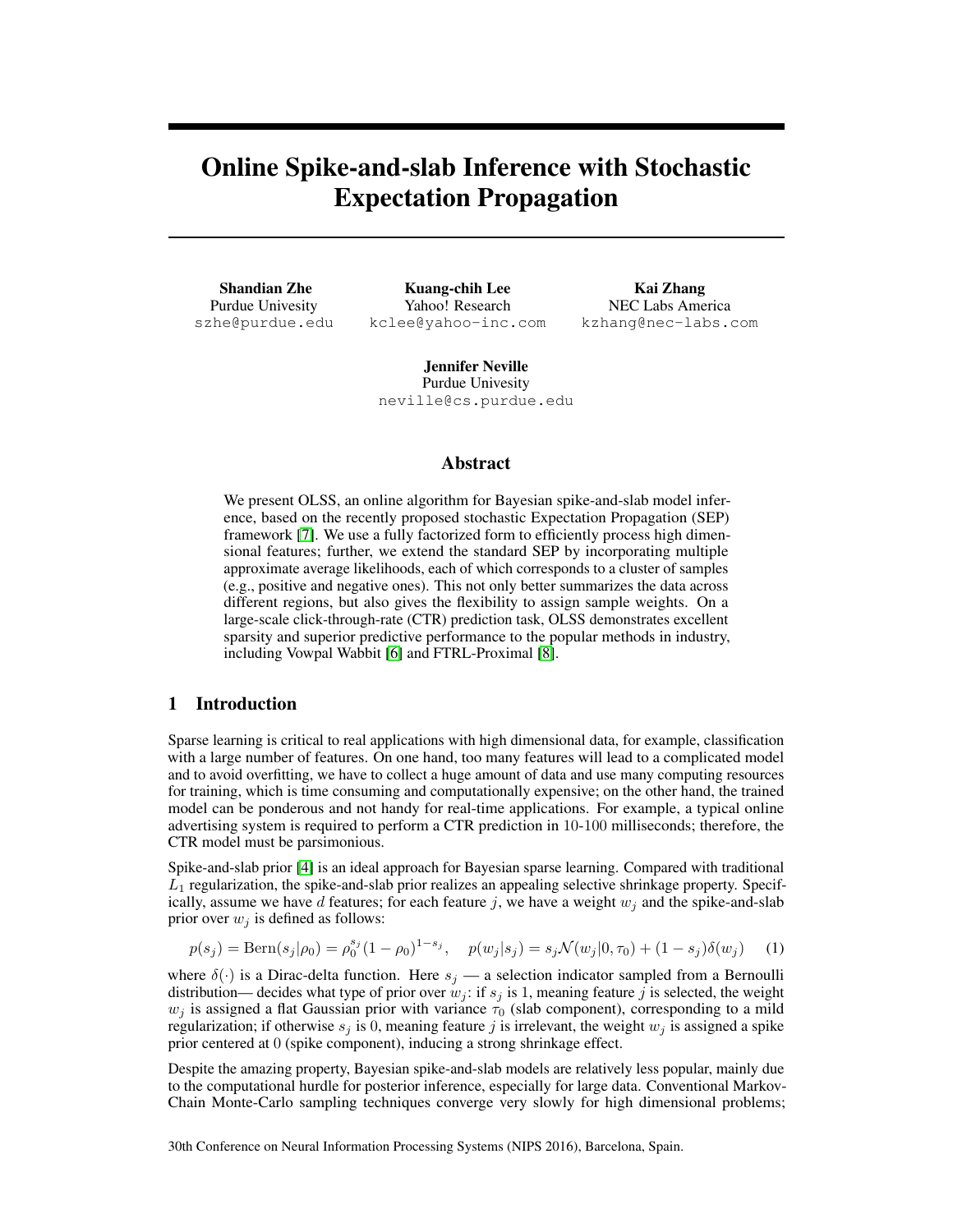# Online Spike-and-slab Inference with Stochastic Expectation Propagation

Shandian Zhe Purdue Univesity szhe@purdue.edu

Kuang-chih Lee Yahoo! Research kclee@yahoo-inc.com

Kai Zhang NEC Labs America kzhang@nec-labs.com

Jennifer Neville Purdue Univesity neville@cs.purdue.edu

#### <span id="page-0-0"></span>Abstract

We present OLSS, an online algorithm for Bayesian spike-and-slab model inference, based on the recently proposed stochastic Expectation Propagation (SEP) framework [\[7\]](#page-4-0). We use a fully factorized form to efficiently process high dimensional features; further, we extend the standard SEP by incorporating multiple approximate average likelihoods, each of which corresponds to a cluster of samples (e.g., positive and negative ones). This not only better summarizes the data across different regions, but also gives the flexibility to assign sample weights. On a large-scale click-through-rate (CTR) prediction task, OLSS demonstrates excellent sparsity and superior predictive performance to the popular methods in industry, including Vowpal Wabbit [\[6\]](#page-4-1) and FTRL-Proximal [\[8\]](#page-4-2).

## 1 Introduction

Sparse learning is critical to real applications with high dimensional data, for example, classification with a large number of features. On one hand, too many features will lead to a complicated model and to avoid overfitting, we have to collect a huge amount of data and use many computing resources for training, which is time consuming and computationally expensive; on the other hand, the trained model can be ponderous and not handy for real-time applications. For example, a typical online advertising system is required to perform a CTR prediction in 10-100 milliseconds; therefore, the CTR model must be parsimonious.

Spike-and-slab prior [\[4\]](#page-4-3) is an ideal approach for Bayesian sparse learning. Compared with traditional  $L_1$  regularization, the spike-and-slab prior realizes an appealing selective shrinkage property. Specifically, assume we have d features; for each feature j, we have a weight  $w_i$  and the spike-and-slab prior over  $w_i$  is defined as follows:

$$
p(s_j) = \text{Bern}(s_j|\rho_0) = \rho_0^{s_j} (1 - \rho_0)^{1 - s_j}, \quad p(w_j|s_j) = s_j \mathcal{N}(w_j|0, \tau_0) + (1 - s_j)\delta(w_j)
$$
 (1)

where  $\delta(\cdot)$  is a Dirac-delta function. Here  $s_i$  — a selection indicator sampled from a Bernoulli distribution— decides what type of prior over  $w_j$ : if  $s_j$  is 1, meaning feature j is selected, the weight  $w_j$  is assigned a flat Gaussian prior with variance  $\tau_0$  (slab component), corresponding to a mild regularization; if otherwise  $s_j$  is 0, meaning feature j is irrelevant, the weight  $w_j$  is assigned a spike prior centered at 0 (spike component), inducing a strong shrinkage effect.

Despite the amazing property, Bayesian spike-and-slab models are relatively less popular, mainly due to the computational hurdle for posterior inference, especially for large data. Conventional Markov-Chain Monte-Carlo sampling techniques converge very slowly for high dimensional problems;

30th Conference on Neural Information Processing Systems (NIPS 2016), Barcelona, Spain.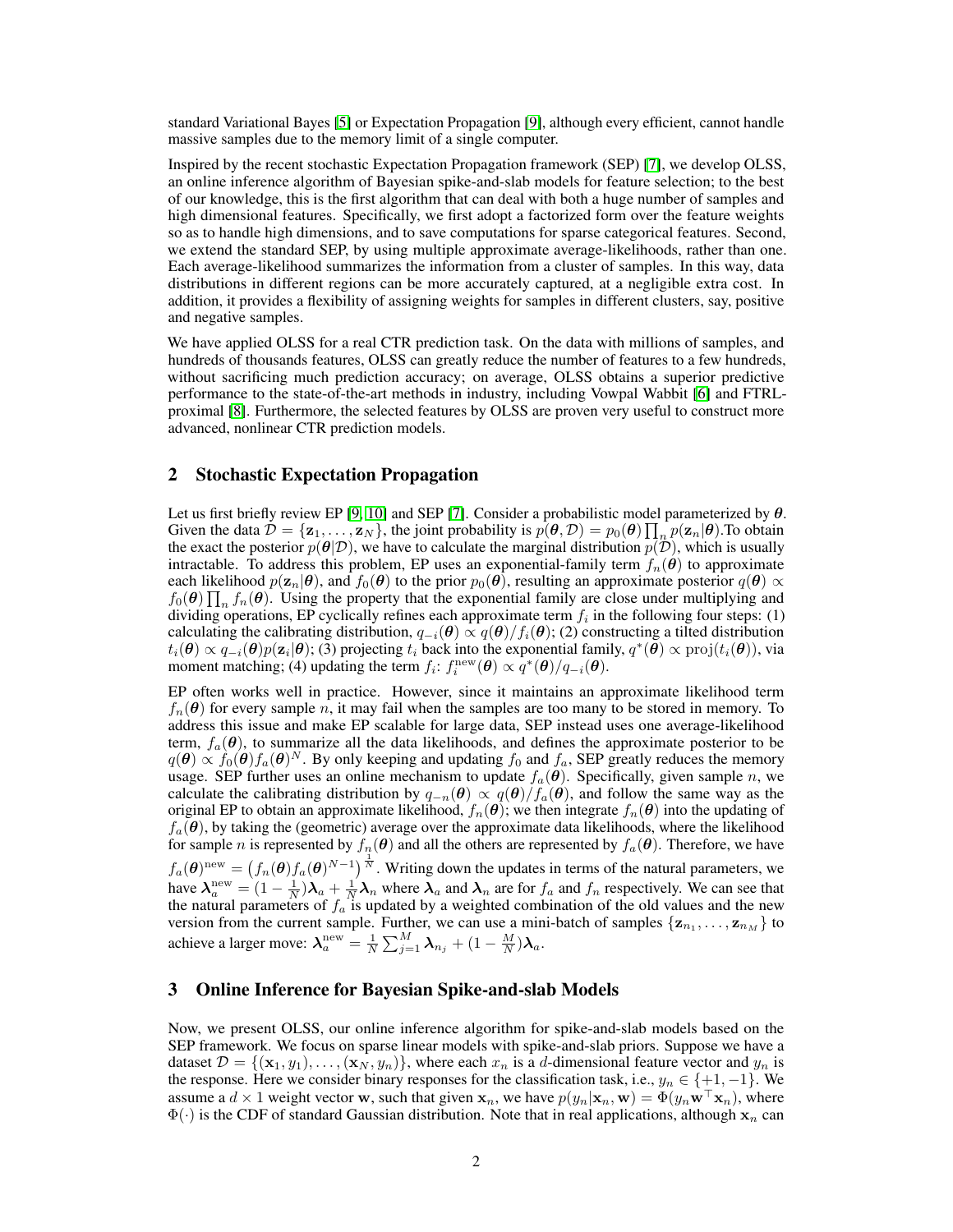standard Variational Bayes [\[5\]](#page-4-4) or Expectation Propagation [\[9\]](#page-4-5), although every efficient, cannot handle massive samples due to the memory limit of a single computer.

Inspired by the recent stochastic Expectation Propagation framework (SEP) [\[7\]](#page-4-0), we develop OLSS, an online inference algorithm of Bayesian spike-and-slab models for feature selection; to the best of our knowledge, this is the first algorithm that can deal with both a huge number of samples and high dimensional features. Specifically, we first adopt a factorized form over the feature weights so as to handle high dimensions, and to save computations for sparse categorical features. Second, we extend the standard SEP, by using multiple approximate average-likelihoods, rather than one. Each average-likelihood summarizes the information from a cluster of samples. In this way, data distributions in different regions can be more accurately captured, at a negligible extra cost. In addition, it provides a flexibility of assigning weights for samples in different clusters, say, positive and negative samples.

We have applied OLSS for a real CTR prediction task. On the data with millions of samples, and hundreds of thousands features, OLSS can greatly reduce the number of features to a few hundreds, without sacrificing much prediction accuracy; on average, OLSS obtains a superior predictive performance to the state-of-the-art methods in industry, including Vowpal Wabbit [\[6\]](#page-4-1) and FTRLproximal [\[8\]](#page-4-2). Furthermore, the selected features by OLSS are proven very useful to construct more advanced, nonlinear CTR prediction models.

## 2 Stochastic Expectation Propagation

Let us first briefly review EP [\[9,](#page-4-5) [10\]](#page-4-6) and SEP [\[7\]](#page-4-0). Consider a probabilistic model parameterized by  $\theta$ . Given the data  $\mathcal{D} = \{\mathbf{z}_1, \dots, \mathbf{z}_N\}$ , the joint probability is  $p(\theta, \mathcal{D}) = p_0(\theta) \prod_n p(\mathbf{z}_n | \theta)$ . To obtain the exact the posterior  $p(\theta|\mathcal{D})$ , we have to calculate the marginal distribution  $p(\mathcal{D})$ , which is usually intractable. To address this problem, EP uses an exponential-family term  $f_n(\theta)$  to approximate each likelihood  $p(\mathbf{z}_n|\boldsymbol{\theta})$ , and  $f_0(\boldsymbol{\theta})$  to the prior  $p_0(\boldsymbol{\theta})$ , resulting an approximate posterior  $q(\boldsymbol{\theta}) \propto$  $f_0(\theta) \prod_n f_n(\theta)$ . Using the property that the exponential family are close under multiplying and dividing operations, EP cyclically refines each approximate term  $f_i$  in the following four steps: (1) calculating the calibrating distribution,  $q_{-i}(\theta) \propto q(\theta)/f_i(\theta)$ ; (2) constructing a tilted distribution  $t_i(\theta) \propto q_{-i}(\theta)p(\mathbf{z}_i|\theta)$ ; (3) projecting  $t_i$  back into the exponential family,  $q^*(\tilde{\theta}) \propto \text{proj}(t_i(\theta))$ , via moment matching; (4) updating the term  $f_i$ :  $f_i^{\text{new}}(\theta) \propto \hat{q}^*(\theta)/q_{-i}(\theta)$ .

EP often works well in practice. However, since it maintains an approximate likelihood term  $f_n(\theta)$  for every sample n, it may fail when the samples are too many to be stored in memory. To address this issue and make EP scalable for large data, SEP instead uses one average-likelihood term,  $f_a(\theta)$ , to summarize all the data likelihoods, and defines the approximate posterior to be  $q(\theta) \propto f_0(\theta) f_a(\theta)^N$ . By only keeping and updating  $f_0$  and  $f_a$ , SEP greatly reduces the memory usage. SEP further uses an online mechanism to update  $f_a(\theta)$ . Specifically, given sample n, we calculate the calibrating distribution by  $q_{-n}(\theta) \propto q(\theta)/f_a(\theta)$ , and follow the same way as the original EP to obtain an approximate likelihood,  $f_n(\theta)$ ; we then integrate  $f_n(\theta)$  into the updating of  $f_a(\theta)$ , by taking the (geometric) average over the approximate data likelihoods, where the likelihood for sample n is represented by  $f_n(\theta)$  and all the others are represented by  $f_a(\theta)$ . Therefore, we have  $f_a(\theta)^{new} = (f_n(\theta) f_a(\theta)^{N-1})^{\frac{1}{N}}$ . Writing down the updates in terms of the natural parameters, we have  $\lambda_a^{\text{new}} = (1 - \frac{1}{N})\lambda_a + \frac{1}{N}\lambda_n$  where  $\lambda_a$  and  $\lambda_n$  are for  $f_a$  and  $f_n$  respectively. We can see that the natural parameters of  $f_a$  is updated by a weighted combination of the old values and the new version from the current sample. Further, we can use a mini-batch of samples  $\{z_{n_1}, \ldots, z_{n_M}\}\$  to achieve a larger move:  $\boldsymbol{\lambda}_{a}^{\text{new}} = \frac{1}{N} \sum_{j=1}^{M} \boldsymbol{\lambda}_{n_j} + (1 - \frac{M}{N}) \boldsymbol{\lambda}_{a}.$ 

#### 3 Online Inference for Bayesian Spike-and-slab Models

Now, we present OLSS, our online inference algorithm for spike-and-slab models based on the SEP framework. We focus on sparse linear models with spike-and-slab priors. Suppose we have a dataset  $\mathcal{D} = \{(\mathbf{x}_1, y_1), \dots, (\mathbf{x}_N, y_n)\}\,$  where each  $x_n$  is a d-dimensional feature vector and  $y_n$  is the response. Here we consider binary responses for the classification task, i.e.,  $y_n \in \{+1, -1\}$ . We assume a  $d \times 1$  weight vector w, such that given  $\mathbf{x}_n$ , we have  $p(y_n|\mathbf{x}_n, \mathbf{w}) = \Phi(y_n\mathbf{w}^\top \mathbf{x}_n)$ , where  $\Phi(\cdot)$  is the CDF of standard Gaussian distribution. Note that in real applications, although  $x_n$  can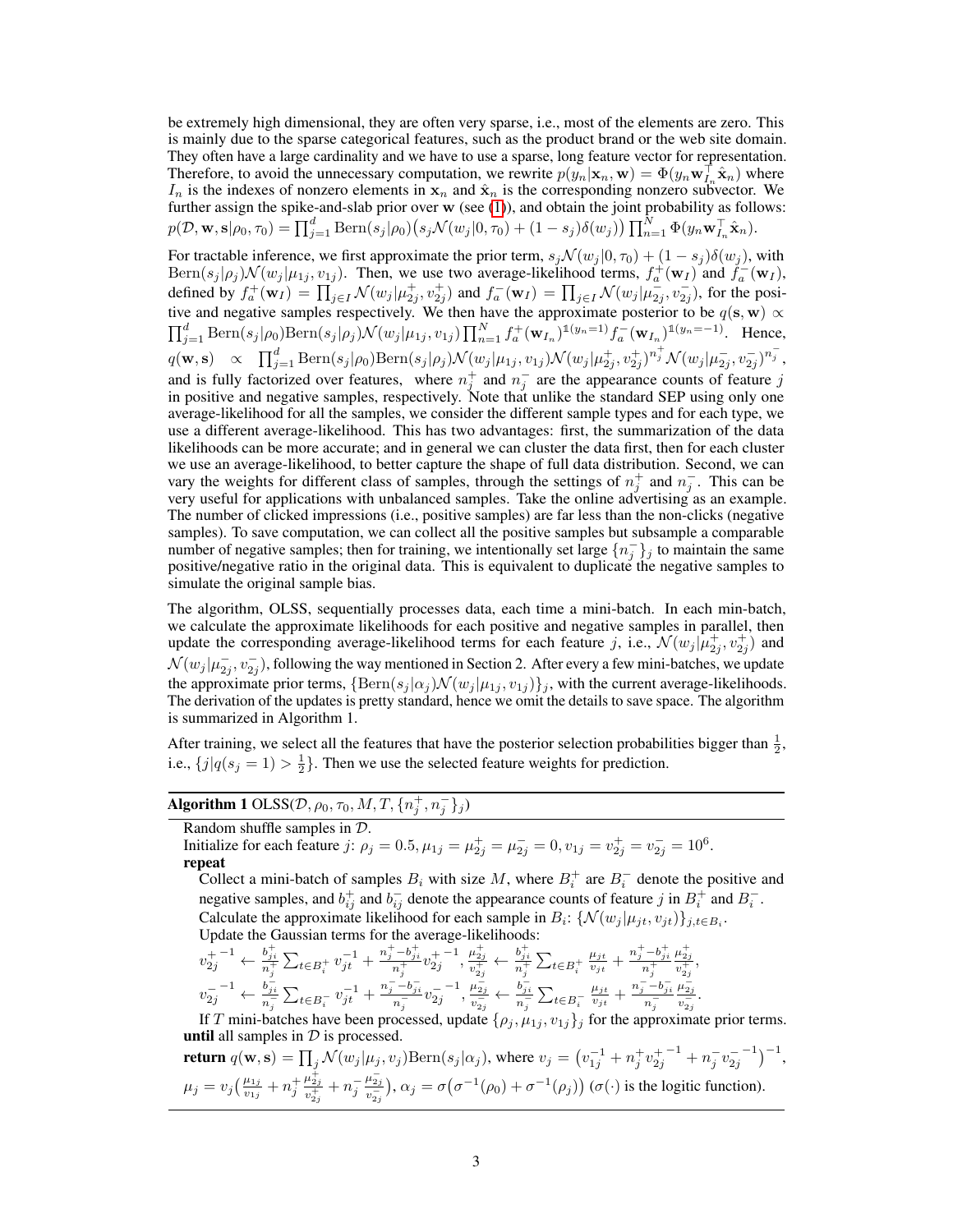be extremely high dimensional, they are often very sparse, i.e., most of the elements are zero. This is mainly due to the sparse categorical features, such as the product brand or the web site domain. They often have a large cardinality and we have to use a sparse, long feature vector for representation. Therefore, to avoid the unnecessary computation, we rewrite  $p(y_n|\mathbf{x}_n,\mathbf{w}) = \Phi(y_n\mathbf{w}_{I_n}^{\top}\hat{\mathbf{x}}_n)$  where Interface, to avoid the unnecessary computation, we rewrite  $p(y_n|\mathbf{x}_n, \mathbf{w}) = \Psi(y_n \mathbf{w}_{I_n} \mathbf{x}_n)$  where  $I_n$  is the indexes of nonzero elements in  $\mathbf{x}_n$  and  $\hat{\mathbf{x}}_n$  is the corresponding nonzero subvector. We further assign the spike-and-slab prior over w (see [\(1\)](#page-0-0)), and obtain the joint probability as follows:  $p(\mathcal{D}, \mathbf{w}, \mathbf{s} | \rho_0, \tau_0) = \prod_{j=1}^d \text{Bern}(s_j | \rho_0) \big(s_j \mathcal{N}(w_j | 0, \tau_0) + (1 - s_j) \delta(w_j) \big) \prod_{n=1}^N \Phi(y_n \mathbf{w}_{I_n}^{\top} \hat{\mathbf{x}}_n).$ 

For tractable inference, we first approximate the prior term,  $s_j \mathcal{N}(w_j | 0, \tau_0) + (1 - s_j) \delta(w_j)$ , with  $\text{Bern}(s_j|\rho_j) \mathcal{N}(w_j|\mu_{1j}, v_{1j})$ . Then, we use two average-likelihood terms,  $f_a^+(\mathbf{w}_I)$  and  $f_a^-(\mathbf{w}_I)$ , defined by  $f_a^+(\mathbf{w}_I) = \prod_{j \in I} \mathcal{N}(w_j | \mu_{2j}^+, v_{2j}^+)$  and  $f_a^-(\mathbf{w}_I) = \prod_{j \in I} \mathcal{N}(w_j | \mu_{2j}^-, v_{2j}^-)$ , for the positive and negative samples respectively. We then have the approximate posterior to be  $q(s, w) \propto$  $\prod_{j=1}^d \text{Bern}(s_j|\rho_0) \text{Bern}(s_j|\rho_j) \mathcal{N}(w_j|\mu_{1j}, v_{1j}) \prod_{n=1}^N f_a^+(\mathbf{w}_{I_n})^{1(y_n=1)} f_a^-(\mathbf{w}_{I_n})^{1(y_n=-1)}$ . Hence,  $q(\mathbf{w}, \mathbf{s}) \propto \prod_{j=1}^d \text{Bern}(s_j | \rho_0) \text{Bern}(s_j | \rho_j) \mathcal{N}(w_j | \mu_{1j}, v_{1j}) \mathcal{N}(w_j | \mu_{2j}^+, v_{2j}^+)^{n_j^+} \mathcal{N}(w_j | \mu_{2j}^-, v_{2j}^-)^{n_j^-},$ and is fully factorized over features, where  $n_j^+$  and  $n_j^-$  are the appearance counts of feature j in positive and negative samples, respectively. Note that unlike the standard SEP using only one average-likelihood for all the samples, we consider the different sample types and for each type, we use a different average-likelihood. This has two advantages: first, the summarization of the data likelihoods can be more accurate; and in general we can cluster the data first, then for each cluster we use an average-likelihood, to better capture the shape of full data distribution. Second, we can vary the weights for different class of samples, through the settings of  $n_j^+$  and  $n_j^-$ . This can be very useful for applications with unbalanced samples. Take the online advertising as an example. The number of clicked impressions (i.e., positive samples) are far less than the non-clicks (negative samples). To save computation, we can collect all the positive samples but subsample a comparable number of negative samples; then for training, we intentionally set large  $\{n_j^-\}_j$  to maintain the same positive/negative ratio in the original data. This is equivalent to duplicate the negative samples to simulate the original sample bias.

The algorithm, OLSS, sequentially processes data, each time a mini-batch. In each min-batch, we calculate the approximate likelihoods for each positive and negative samples in parallel, then update the corresponding average-likelihood terms for each feature j, i.e.,  $\mathcal{N}(w_j | \mu_{2j}^+, v_{2j}^+)$  and  $\mathcal{N}(w_j | \mu_{2j}^-, v_{2j}^-)$ , following the way mentioned in Section 2. After every a few mini-batches, we update the approximate prior terms,  $\{Bern(s_i | \alpha_i) \mathcal{N}(w_i | \mu_{1i}, v_{1i})\}_i$ , with the current average-likelihoods. The derivation of the updates is pretty standard, hence we omit the details to save space. The algorithm is summarized in Algorithm 1.

After training, we select all the features that have the posterior selection probabilities bigger than  $\frac{1}{2}$ , i.e.,  $\{j|q(s_j = 1) > \frac{1}{2}\}\.$  Then we use the selected feature weights for prediction.

# Algorithm 1 OLSS( $\mathcal{D}, \rho_0, \tau_0, M, T, \{n_j^+, n_j^-\}_j$ )

Random shuffle samples in D.

Initialize for each feature j:  $\rho_j = 0.5$ ,  $\mu_{1j} = \mu_{2j}^+ = \mu_{2j}^- = 0$ ,  $v_{1j} = v_{2j}^+ = v_{2j}^- = 10^6$ . repeat

Collect a mini-batch of samples  $B_i$  with size M, where  $B_i^+$  are  $B_i^-$  denote the positive and negative samples, and  $b_{ij}^+$  and  $b_{ij}^-$  denote the appearance counts of feature j in  $B_i^+$  and  $B_i^-$ . Calculate the approximate likelihood for each sample in  $B_i$ :  $\{N(w_j | \mu_{jt}, v_{jt})\}_{j,t \in B_i}$ . Update the Gaussian terms for the average-likelihoods:

$$
\begin{aligned} v_{2j}^{+-1} \leftarrow & \tfrac{b_{ji}^+}{n_j^+} \sum_{t \in B_i^+} v_{jt}^{-1} + \tfrac{n_j^+ - b_{ji}^+}{n_j^+} v_{2j}^{+-1} , \tfrac{\mu_{2j}^+}{v_{2j}^+} \leftarrow & \tfrac{b_{ji}^+}{n_j^+} \sum_{t \in B_i^+} \tfrac{\mu_{jt}}{v_{jt}} + \tfrac{n_j^+ - b_{ji}^+}{n_j^+} \tfrac{\mu_{2j}^+}{v_{2j}^+} , \\ v_{2j}^{--1} \leftarrow & \tfrac{b_{ji}^-}{n_j^-} \sum_{t \in B_i^-} v_{jt}^{-1} + \tfrac{n_j^- - b_{ji}^-}{n_j^-} v_{2j}^{--1} , \tfrac{\mu_{2j}^-}{v_{2j}^-} \leftarrow & \tfrac{b_{ji}^-}{n_j^-} \sum_{t \in B_i^-} \tfrac{\mu_{jt}}{v_{jt}} + \tfrac{n_j^- - b_{ji}^-}{n_j^-} \tfrac{\mu_{2j}^-}{v_{2j}^-} . \end{aligned}
$$

If T mini-batches have been processed, update  $\{\rho_j, \mu_{1j}, v_{1j}\}\$  for the approximate prior terms. until all samples in  $D$  is processed.

**return** 
$$
q(\mathbf{w}, \mathbf{s}) = \prod_j \mathcal{N}(w_j | \mu_j, v_j) \text{Bern}(s_j | \alpha_j)
$$
, where  $v_j = (v_{1j}^{-1} + n_j^+ v_{2j}^{+ - 1} + n_j^- v_{2j}^{- - 1})^{-1}$ ,  
\n
$$
\mu_j = v_j \left( \frac{\mu_{1j}}{v_{1j}} + n_j^+ \frac{\mu_{2j}^+}{v_{2j}^+} + n_j^- \frac{\mu_{2j}^-}{v_{2j}^-} \right), \alpha_j = \sigma \left( \sigma^{-1}(\rho_0) + \sigma^{-1}(\rho_j) \right) \left( \sigma(\cdot) \right)
$$
 is the logistic function).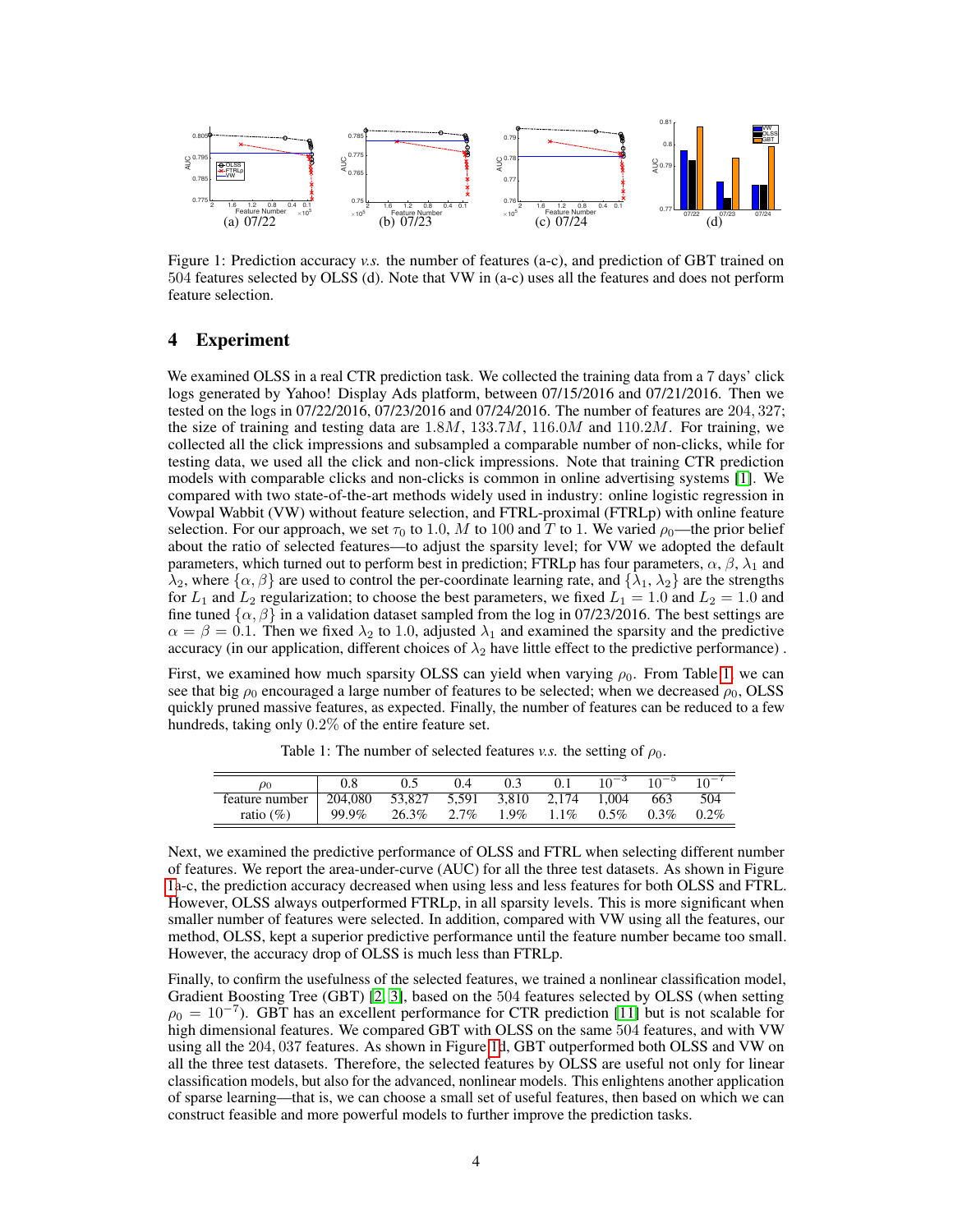

<span id="page-3-1"></span>Figure 1: Prediction accuracy *v.s.* the number of features (a-c), and prediction of GBT trained on 504 features selected by OLSS (d). Note that VW in (a-c) uses all the features and does not perform feature selection.

# 4 Experiment

We examined OLSS in a real CTR prediction task. We collected the training data from a 7 days' click logs generated by Yahoo! Display Ads platform, between 07/15/2016 and 07/21/2016. Then we tested on the logs in 07/22/2016, 07/23/2016 and 07/24/2016. The number of features are 204, 327; the size of training and testing data are  $1.8M$ ,  $133.7M$ ,  $116.0M$  and  $110.2M$ . For training, we collected all the click impressions and subsampled a comparable number of non-clicks, while for testing data, we used all the click and non-click impressions. Note that training CTR prediction models with comparable clicks and non-clicks is common in online advertising systems [\[1\]](#page-4-7). We compared with two state-of-the-art methods widely used in industry: online logistic regression in Vowpal Wabbit (VW) without feature selection, and FTRL-proximal (FTRLp) with online feature selection. For our approach, we set  $\tau_0$  to 1.0, M to 100 and T to 1. We varied  $\rho_0$ —the prior belief about the ratio of selected features—to adjust the sparsity level; for VW we adopted the default parameters, which turned out to perform best in prediction; FTRLp has four parameters,  $\alpha$ ,  $\beta$ ,  $\lambda_1$  and  $\lambda_2$ , where  $\{\alpha, \beta\}$  are used to control the per-coordinate learning rate, and  $\{\lambda_1, \lambda_2\}$  are the strengths for  $L_1$  and  $L_2$  regularization; to choose the best parameters, we fixed  $L_1 = 1.0$  and  $L_2 = 1.0$  and fine tuned  $\{\alpha, \beta\}$  in a validation dataset sampled from the log in 07/23/2016. The best settings are  $\alpha = \beta = 0.1$ . Then we fixed  $\lambda_2$  to 1.0, adjusted  $\lambda_1$  and examined the sparsity and the predictive accuracy (in our application, different choices of  $\lambda_2$  have little effect to the predictive performance).

First, we examined how much sparsity OLSS can yield when varying  $\rho_0$ . From Table [1,](#page-3-0) we can see that big  $\rho_0$  encouraged a large number of features to be selected; when we decreased  $\rho_0$ , OLSS quickly pruned massive features, as expected. Finally, the number of features can be reduced to a few hundreds, taking only 0.2% of the entire feature set.

<span id="page-3-0"></span>

| $\rho_0$       |         |                    | 0.4     |         | 0.1         | $10^{-3}$ | $10^{-5}$ |         |
|----------------|---------|--------------------|---------|---------|-------------|-----------|-----------|---------|
| feature number | 204,080 | 53,827 5,591 3,810 |         |         | 2,174 1,004 |           | 663       | 504     |
| ratio $(\%)$   | 99.9%   | 26.3%              | $2.7\%$ | $1.9\%$ | $1.1\%$     | $0.5\%$   | $0.3\%$   | $0.2\%$ |

Table 1: The number of selected features *v.s.* the setting of  $\rho_0$ .

Next, we examined the predictive performance of OLSS and FTRL when selecting different number of features. We report the area-under-curve (AUC) for all the three test datasets. As shown in Figure [1a](#page-3-1)-c, the prediction accuracy decreased when using less and less features for both OLSS and FTRL. However, OLSS always outperformed FTRLp, in all sparsity levels. This is more significant when smaller number of features were selected. In addition, compared with VW using all the features, our method, OLSS, kept a superior predictive performance until the feature number became too small. However, the accuracy drop of OLSS is much less than FTRLp.

Finally, to confirm the usefulness of the selected features, we trained a nonlinear classification model, Gradient Boosting Tree (GBT) [\[2,](#page-4-8) [3\]](#page-4-9), based on the 504 features selected by OLSS (when setting  $\rho_0 = 10^{-7}$ ). GBT has an excellent performance for CTR prediction [\[11\]](#page-4-10) but is not scalable for high dimensional features. We compared GBT with OLSS on the same 504 features, and with VW using all the 204, 037 features. As shown in Figure [1d](#page-3-1), GBT outperformed both OLSS and VW on all the three test datasets. Therefore, the selected features by OLSS are useful not only for linear classification models, but also for the advanced, nonlinear models. This enlightens another application of sparse learning—that is, we can choose a small set of useful features, then based on which we can construct feasible and more powerful models to further improve the prediction tasks.